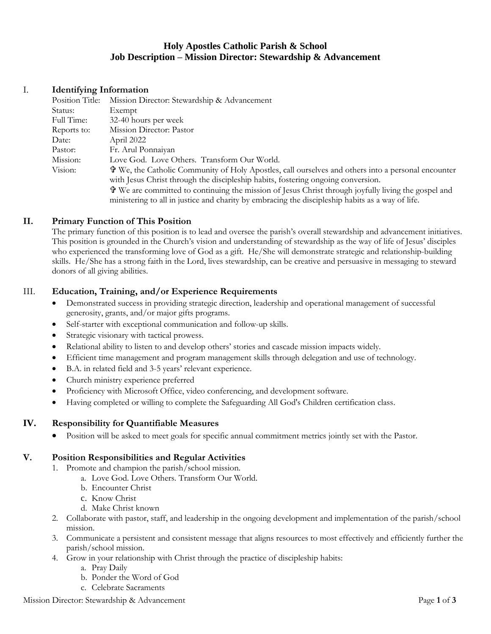# **Holy Apostles Catholic Parish & School Job Description – Mission Director: Stewardship & Advancement**

# I. **Identifying Information**

| Position Title: | Mission Director: Stewardship & Advancement                                                                |
|-----------------|------------------------------------------------------------------------------------------------------------|
| Status:         | Exempt                                                                                                     |
| Full Time:      | 32-40 hours per week                                                                                       |
| Reports to:     | Mission Director: Pastor                                                                                   |
| Date:           | April 2022                                                                                                 |
| Pastor:         | Fr. Arul Ponnaiyan                                                                                         |
| Mission:        | Love God. Love Others. Transform Our World.                                                                |
| Vision:         | <b>T</b> We, the Catholic Community of Holy Apostles, call ourselves and others into a personal encounter  |
|                 | with Jesus Christ through the discipleship habits, fostering ongoing conversion.                           |
|                 | <b>T</b> We are committed to continuing the mission of Jesus Christ through joyfully living the gospel and |
|                 | ministering to all in justice and charity by embracing the discipleship habits as a way of life.           |
|                 |                                                                                                            |

## **II. Primary Function of This Position**

The primary function of this position is to lead and oversee the parish's overall stewardship and advancement initiatives. This position is grounded in the Church's vision and understanding of stewardship as the way of life of Jesus' disciples who experienced the transforming love of God as a gift. He/She will demonstrate strategic and relationship-building skills. He/She has a strong faith in the Lord, lives stewardship, can be creative and persuasive in messaging to steward donors of all giving abilities.

## III. **Education, Training, and/or Experience Requirements**

- Demonstrated success in providing strategic direction, leadership and operational management of successful generosity, grants, and/or major gifts programs.
- Self-starter with exceptional communication and follow-up skills.
- Strategic visionary with tactical prowess.
- Relational ability to listen to and develop others' stories and cascade mission impacts widely.
- Efficient time management and program management skills through delegation and use of technology.
- B.A. in related field and 3-5 years' relevant experience.
- Church ministry experience preferred
- Proficiency with Microsoft Office, video conferencing, and development software.
- Having completed or willing to complete the Safeguarding All God's Children certification class.

## **IV. Responsibility for Quantifiable Measures**

• Position will be asked to meet goals for specific annual commitment metrics jointly set with the Pastor.

## **V. Position Responsibilities and Regular Activities**

- 1. Promote and champion the parish/school mission.
	- a. Love God. Love Others. Transform Our World.
	- b. Encounter Christ
	- c. Know Christ
	- d. Make Christ known
- 2. Collaborate with pastor, staff, and leadership in the ongoing development and implementation of the parish/school mission.
- 3. Communicate a persistent and consistent message that aligns resources to most effectively and efficiently further the parish/school mission.
- 4. Grow in your relationship with Christ through the practice of discipleship habits:
	- a. Pray Daily
	- b. Ponder the Word of God
	- c. Celebrate Sacraments

#### Mission Director: Stewardship & Advancement Page **1** of **3**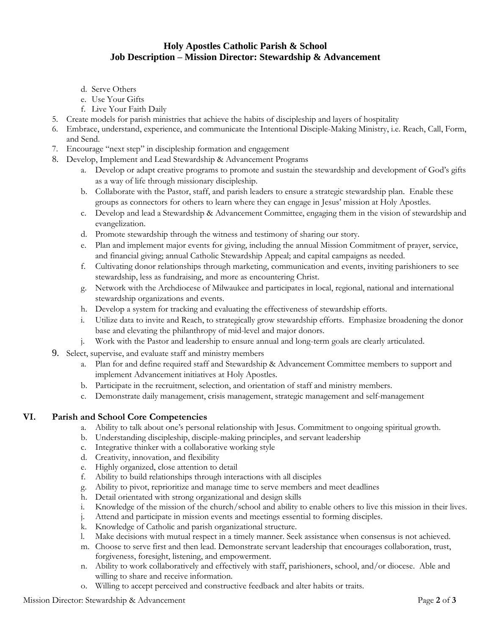# **Holy Apostles Catholic Parish & School Job Description – Mission Director: Stewardship & Advancement**

- d. Serve Others
- e. Use Your Gifts
- f. Live Your Faith Daily
- 5. Create models for parish ministries that achieve the habits of discipleship and layers of hospitality
- 6. Embrace, understand, experience, and communicate the Intentional Disciple-Making Ministry, i.e. Reach, Call, Form, and Send.
- 7. Encourage "next step" in discipleship formation and engagement
- 8. Develop, Implement and Lead Stewardship & Advancement Programs
	- a. Develop or adapt creative programs to promote and sustain the stewardship and development of God's gifts as a way of life through missionary discipleship.
	- b. Collaborate with the Pastor, staff, and parish leaders to ensure a strategic stewardship plan. Enable these groups as connectors for others to learn where they can engage in Jesus' mission at Holy Apostles.
	- c. Develop and lead a Stewardship & Advancement Committee, engaging them in the vision of stewardship and evangelization.
	- d. Promote stewardship through the witness and testimony of sharing our story.
	- e. Plan and implement major events for giving, including the annual Mission Commitment of prayer, service, and financial giving; annual Catholic Stewardship Appeal; and capital campaigns as needed.
	- f. Cultivating donor relationships through marketing, communication and events, inviting parishioners to see stewardship, less as fundraising, and more as encountering Christ.
	- g. Network with the Archdiocese of Milwaukee and participates in local, regional, national and international stewardship organizations and events.
	- h. Develop a system for tracking and evaluating the effectiveness of stewardship efforts.
	- i. Utilize data to invite and Reach, to strategically grow stewardship efforts. Emphasize broadening the donor base and elevating the philanthropy of mid-level and major donors.
	- j. Work with the Pastor and leadership to ensure annual and long-term goals are clearly articulated.
- 9. Select, supervise, and evaluate staff and ministry members
	- a. Plan for and define required staff and Stewardship & Advancement Committee members to support and implement Advancement initiatives at Holy Apostles.
	- b. Participate in the recruitment, selection, and orientation of staff and ministry members.
	- c. Demonstrate daily management, crisis management, strategic management and self-management

## **VI. Parish and School Core Competencies**

- a. Ability to talk about one's personal relationship with Jesus. Commitment to ongoing spiritual growth.
- b. Understanding discipleship, disciple-making principles, and servant leadership
- c. Integrative thinker with a collaborative working style
- d. Creativity, innovation, and flexibility
- e. Highly organized, close attention to detail
- f. Ability to build relationships through interactions with all disciples
- g. Ability to pivot, reprioritize and manage time to serve members and meet deadlines
- h. Detail orientated with strong organizational and design skills
- i. Knowledge of the mission of the church/school and ability to enable others to live this mission in their lives.
- j. Attend and participate in mission events and meetings essential to forming disciples.
- k. Knowledge of Catholic and parish organizational structure.
- l. Make decisions with mutual respect in a timely manner. Seek assistance when consensus is not achieved.
- m. Choose to serve first and then lead. Demonstrate servant leadership that encourages collaboration, trust, forgiveness, foresight, listening, and empowerment.
- n. Ability to work collaboratively and effectively with staff, parishioners, school, and/or diocese. Able and willing to share and receive information.
- o. Willing to accept perceived and constructive feedback and alter habits or traits.